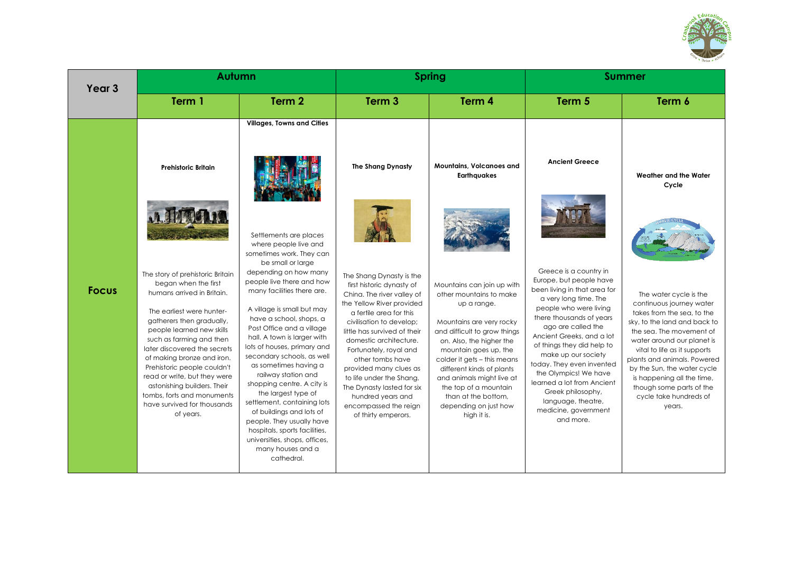

| Year <sub>3</sub> | Autumn                                                                                                                                                                                                                                                                                                                                                                                                                                          |                                                                                                                                                                                                                                                                                                                                                                                                                                                                                                                                                                      | <b>Spring</b>                                                                                                                                                                                                                                                                                                                                                                                                                            |                                                                                                                                                                                                                                                                                                                                                                        | <b>Summer</b>                                                                                                                                                                                                                                                                                                                                                                                                                                |                                                                                                                                                                                                                                                                                                                                                                        |
|-------------------|-------------------------------------------------------------------------------------------------------------------------------------------------------------------------------------------------------------------------------------------------------------------------------------------------------------------------------------------------------------------------------------------------------------------------------------------------|----------------------------------------------------------------------------------------------------------------------------------------------------------------------------------------------------------------------------------------------------------------------------------------------------------------------------------------------------------------------------------------------------------------------------------------------------------------------------------------------------------------------------------------------------------------------|------------------------------------------------------------------------------------------------------------------------------------------------------------------------------------------------------------------------------------------------------------------------------------------------------------------------------------------------------------------------------------------------------------------------------------------|------------------------------------------------------------------------------------------------------------------------------------------------------------------------------------------------------------------------------------------------------------------------------------------------------------------------------------------------------------------------|----------------------------------------------------------------------------------------------------------------------------------------------------------------------------------------------------------------------------------------------------------------------------------------------------------------------------------------------------------------------------------------------------------------------------------------------|------------------------------------------------------------------------------------------------------------------------------------------------------------------------------------------------------------------------------------------------------------------------------------------------------------------------------------------------------------------------|
|                   | Term 1                                                                                                                                                                                                                                                                                                                                                                                                                                          | Term <sub>2</sub>                                                                                                                                                                                                                                                                                                                                                                                                                                                                                                                                                    | Term <sub>3</sub>                                                                                                                                                                                                                                                                                                                                                                                                                        | Term 4                                                                                                                                                                                                                                                                                                                                                                 | Term 5                                                                                                                                                                                                                                                                                                                                                                                                                                       | Term 6                                                                                                                                                                                                                                                                                                                                                                 |
|                   | <b>Prehistoric Britain</b>                                                                                                                                                                                                                                                                                                                                                                                                                      | <b>Villages, Towns and Cities</b><br>Settlements are places<br>where people live and<br>sometimes work. They can<br>be small or large                                                                                                                                                                                                                                                                                                                                                                                                                                | The Shang Dynasty                                                                                                                                                                                                                                                                                                                                                                                                                        | <b>Mountains, Volcanoes and</b><br><b>Earthquakes</b>                                                                                                                                                                                                                                                                                                                  | <b>Ancient Greece</b>                                                                                                                                                                                                                                                                                                                                                                                                                        | Weather and the Water<br>Cycle                                                                                                                                                                                                                                                                                                                                         |
| <b>Focus</b>      | The story of prehistoric Britain<br>began when the first<br>humans arrived in Britain.<br>The earliest were hunter-<br>gatherers then gradually,<br>people learned new skills<br>such as farming and then<br>later discovered the secrets<br>of making bronze and iron.<br>Prehistoric people couldn't<br>read or write, but they were<br>astonishing builders. Their<br>tombs, forts and monuments<br>have survived for thousands<br>of years. | depending on how many<br>people live there and how<br>many facilities there are.<br>A village is small but may<br>have a school, shops, a<br>Post Office and a village<br>hall. A town is larger with<br>lots of houses, primary and<br>secondary schools, as well<br>as sometimes having a<br>railway station and<br>shopping centre. A city is<br>the largest type of<br>settlement, containing lots<br>of buildings and lots of<br>people. They usually have<br>hospitals, sports facilities,<br>universities, shops, offices,<br>many houses and a<br>cathedral. | The Shang Dynasty is the<br>first historic dynasty of<br>China. The river valley of<br>the Yellow River provided<br>a fertile area for this<br>civilisation to develop;<br>little has survived of their<br>domestic architecture.<br>Fortunately, royal and<br>other tombs have<br>provided many clues as<br>to life under the Shang.<br>The Dynasty lasted for six<br>hundred years and<br>encompassed the reign<br>of thirty emperors. | Mountains can join up with<br>other mountains to make<br>up a range.<br>Mountains are very rocky<br>and difficult to grow things<br>on. Also, the higher the<br>mountain goes up, the<br>colder it gets - this means<br>different kinds of plants<br>and animals might live at<br>the top of a mountain<br>than at the bottom,<br>depending on just how<br>high it is. | Greece is a country in<br>Europe, but people have<br>been living in that area for<br>a very long time. The<br>people who were living<br>there thousands of years<br>ago are called the<br>Ancient Greeks, and a lot<br>of things they did help to<br>make up our society<br>today. They even invented<br>the Olympics! We have<br>learned a lot from Ancient<br>Greek philosophy,<br>language, theatre,<br>medicine, government<br>and more. | The water cycle is the<br>continuous journey water<br>takes from the sea, to the<br>sky, to the land and back to<br>the sea. The movement of<br>water around our planet is<br>vital to life as it supports<br>plants and animals. Powered<br>by the Sun, the water cycle<br>is happening all the time,<br>though some parts of the<br>cycle take hundreds of<br>years. |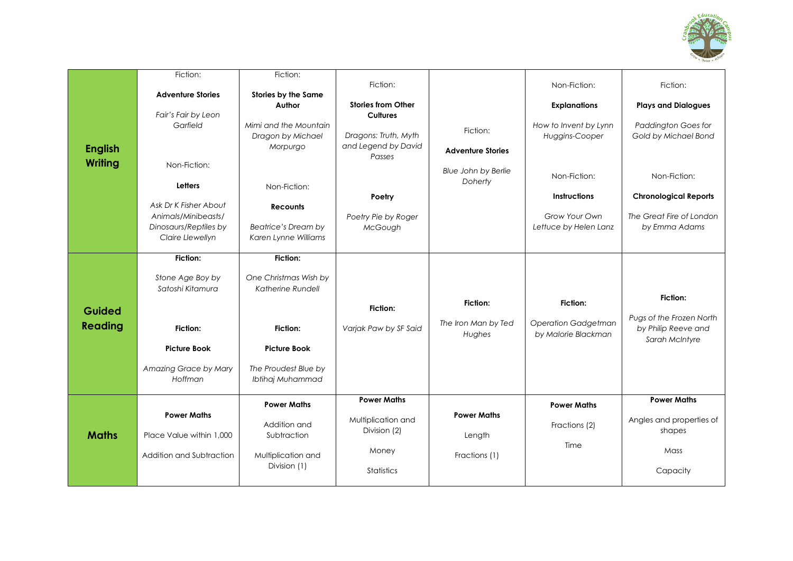

|                | Fiction:                 | Fiction:              |                           |                          |                            |                              |
|----------------|--------------------------|-----------------------|---------------------------|--------------------------|----------------------------|------------------------------|
|                |                          |                       | Fiction:                  |                          | Non-Fiction:               | Fiction:                     |
|                | <b>Adventure Stories</b> | Stories by the Same   |                           |                          |                            |                              |
|                |                          | Author                | <b>Stories from Other</b> |                          | <b>Explanations</b>        | <b>Plays and Dialogues</b>   |
|                | Fair's Fair by Leon      |                       | <b>Cultures</b>           |                          |                            |                              |
|                | Garfield                 | Mimi and the Mountain |                           | Fiction:                 | How to Invent by Lynn      | <b>Paddington Goes for</b>   |
|                |                          | Dragon by Michael     | Dragons: Truth, Myth      |                          | Huggins-Cooper             | Gold by Michael Bond         |
| <b>English</b> |                          | Morpurgo              | and Legend by David       | <b>Adventure Stories</b> |                            |                              |
|                |                          |                       | Passes                    |                          |                            |                              |
| <b>Writing</b> | Non-Fiction:             |                       |                           | Blue John by Berlie      |                            |                              |
|                |                          |                       |                           | Doherty                  | Non-Fiction:               | Non-Fiction:                 |
|                | <b>Letters</b>           | Non-Fiction:          |                           |                          |                            |                              |
|                | Ask Dr K Fisher About    |                       | Poetry                    |                          | <b>Instructions</b>        | <b>Chronological Reports</b> |
|                |                          | <b>Recounts</b>       |                           |                          | Grow Your Own              | The Great Fire of London     |
|                | Animals/Minibeasts/      |                       | Poetry Pie by Roger       |                          |                            |                              |
|                | Dinosaurs/Reptiles by    | Beatrice's Dream by   | McGough                   |                          | Lettuce by Helen Lanz      | by Emma Adams                |
|                | Claire Llewellyn         | Karen Lynne Williams  |                           |                          |                            |                              |
|                | Fiction:                 | <b>Fiction:</b>       |                           |                          |                            |                              |
|                |                          |                       |                           |                          |                            |                              |
|                | Stone Age Boy by         | One Christmas Wish by |                           |                          |                            |                              |
|                | Satoshi Kitamura         | Katherine Rundell     |                           |                          |                            |                              |
|                |                          |                       |                           |                          | <b>Fiction:</b>            | Fiction:                     |
|                |                          |                       |                           |                          |                            |                              |
|                |                          |                       | Fiction:                  | Fiction:                 |                            |                              |
| Guided         |                          |                       |                           |                          |                            | Pugs of the Frozen North     |
| <b>Reading</b> | Fiction:                 | Fiction:              | Varjak Paw by SF Said     | The Iron Man by Ted      | <b>Operation Gadgetman</b> | by Philip Reeve and          |
|                |                          |                       |                           | Hughes                   | by Malorie Blackman        | Sarah McIntyre               |
|                | <b>Picture Book</b>      | <b>Picture Book</b>   |                           |                          |                            |                              |
|                |                          |                       |                           |                          |                            |                              |
|                | Amazing Grace by Mary    | The Proudest Blue by  |                           |                          |                            |                              |
|                | Hoffman                  | Ibtihaj Muhammad      |                           |                          |                            |                              |
|                |                          |                       | <b>Power Maths</b>        |                          |                            | <b>Power Maths</b>           |
|                |                          | <b>Power Maths</b>    |                           |                          | <b>Power Maths</b>         |                              |
|                | <b>Power Maths</b>       |                       | Multiplication and        | <b>Power Maths</b>       |                            | Angles and properties of     |
|                |                          | Addition and          | Division (2)              |                          | Fractions (2)              | shapes                       |
| <b>Maths</b>   | Place Value within 1,000 | Subtraction           |                           | Length                   |                            |                              |
|                | Addition and Subtraction |                       | Money                     | Fractions (1)            | Time                       | Mass                         |
|                |                          | Multiplication and    |                           |                          |                            |                              |
|                |                          | Division (1)          | <b>Statistics</b>         |                          |                            | Capacity                     |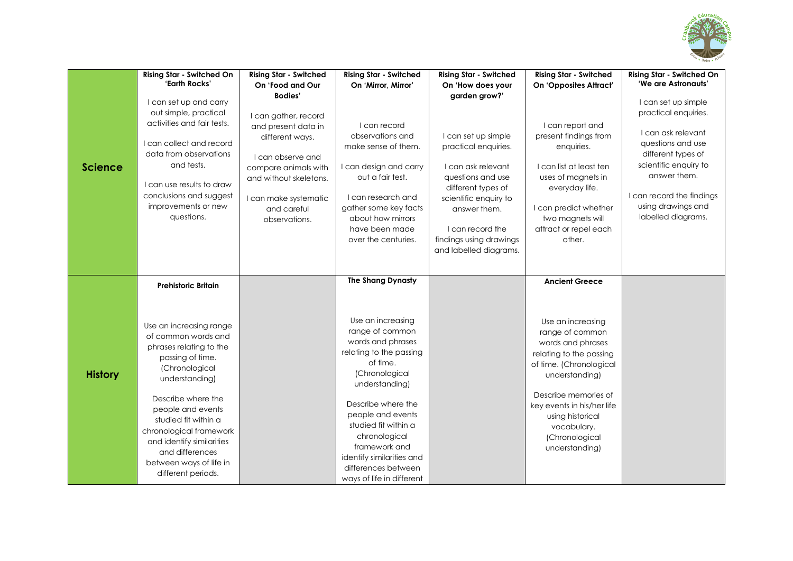

| <b>Science</b> | <b>Rising Star - Switched On</b><br>'Earth Rocks'<br>I can set up and carry<br>out simple, practical<br>activities and fair tests.<br>I can collect and record<br>data from observations<br>and tests.<br>I can use results to draw<br>conclusions and suggest<br>improvements or new<br>questions.                                                            | <b>Rising Star - Switched</b><br>On 'Food and Our<br><b>Bodies'</b><br>I can gather, record<br>and present data in<br>different ways.<br>I can observe and<br>compare animals with<br>and without skeletons.<br>I can make systematic<br>and careful<br>observations. | <b>Rising Star - Switched</b><br>On 'Mirror, Mirror'<br>I can record<br>observations and<br>make sense of them.<br>I can design and carry<br>out a fair test.<br>I can research and<br>gather some key facts<br>about how mirrors<br>have been made<br>over the centuries.                                                                             | <b>Rising Star - Switched</b><br>On 'How does your<br>garden grow?'<br>I can set up simple<br>practical enquiries.<br>I can ask relevant<br>questions and use<br>different types of<br>scientific enquiry to<br>answer them.<br>I can record the<br>findings using drawings<br>and labelled diagrams. | <b>Rising Star - Switched</b><br>On 'Opposites Attract'<br>I can report and<br>present findings from<br>enquiries.<br>I can list at least ten<br>uses of magnets in<br>everyday life.<br>I can predict whether<br>two magnets will<br>attract or repel each<br>other.                   | <b>Rising Star - Switched On</b><br>'We are Astronauts'<br>I can set up simple<br>practical enquiries.<br>I can ask relevant<br>questions and use<br>different types of<br>scientific enquiry to<br>answer them.<br>I can record the findings<br>using drawings and<br>labelled diagrams. |
|----------------|----------------------------------------------------------------------------------------------------------------------------------------------------------------------------------------------------------------------------------------------------------------------------------------------------------------------------------------------------------------|-----------------------------------------------------------------------------------------------------------------------------------------------------------------------------------------------------------------------------------------------------------------------|--------------------------------------------------------------------------------------------------------------------------------------------------------------------------------------------------------------------------------------------------------------------------------------------------------------------------------------------------------|-------------------------------------------------------------------------------------------------------------------------------------------------------------------------------------------------------------------------------------------------------------------------------------------------------|-----------------------------------------------------------------------------------------------------------------------------------------------------------------------------------------------------------------------------------------------------------------------------------------|-------------------------------------------------------------------------------------------------------------------------------------------------------------------------------------------------------------------------------------------------------------------------------------------|
| <b>History</b> | <b>Prehistoric Britain</b><br>Use an increasing range<br>of common words and<br>phrases relating to the<br>passing of time.<br>(Chronological<br>understanding)<br>Describe where the<br>people and events<br>studied fit within a<br>chronological framework<br>and identify similarities<br>and differences<br>between ways of life in<br>different periods. |                                                                                                                                                                                                                                                                       | <b>The Shang Dynasty</b><br>Use an increasing<br>range of common<br>words and phrases<br>relating to the passing<br>of time.<br>(Chronological<br>understanding)<br>Describe where the<br>people and events<br>studied fit within a<br>chronological<br>framework and<br>identify similarities and<br>differences between<br>ways of life in different |                                                                                                                                                                                                                                                                                                       | <b>Ancient Greece</b><br>Use an increasing<br>range of common<br>words and phrases<br>relating to the passing<br>of time. (Chronological<br>understanding)<br>Describe memories of<br>key events in his/her life<br>using historical<br>vocabulary.<br>(Chronological<br>understanding) |                                                                                                                                                                                                                                                                                           |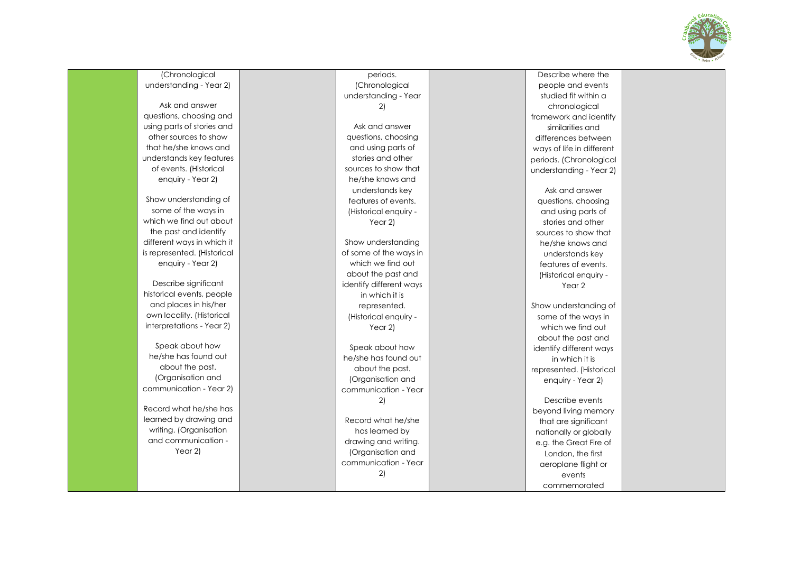

periods. 2) Year 2) Year 2) 2) 2) Describe where the people and events studied fit within a chronological framework and identify similarities and differences between ways of life in different periods. (Chronological understanding - Year 2) Ask and answer questions, choosing and using parts of stories and other sources to show that he/she knows and understands key features of events. (Historical enquiry - Year 2 Show understanding of some of the ways in which we find out about the past and identify different ways in which it is represented. (Historical enquiry - Year 2) Describe events beyond living memory that are significant nationally or globally e.g. the Great Fire of London, the first aeroplane flight or events commemorated

(Chronological understanding - Year 2)

Ask and answer questions, choosing and using parts of stories and other sources to show that he/she knows and understands key features of events. (Historical enquiry - Year 2)

Show understanding of some of the ways in which we find out about the past and identify different ways in which it is represented. (Historical enquiry - Year 2)

Describe significant historical events, people and places in his/her own locality. (Historical interpretations - Year 2)

Speak about how he/she has found out about the past. (Organisation and communication - Year 2)

Record what he/she has learned by drawing and writing. (Organisation and communication - Year 2)

(Chronological understanding - Year

Ask and answer questions, choosing and using parts of stories and other sources to show that he/she knows and understands key features of events. (Historical enquiry -

Show understanding of some of the ways in which we find out about the past and identify different ways in which it is represented. (Historical enquiry -

Speak about how he/she has found out about the past. (Organisation and communication - Year

Record what he/she has learned by drawing and writing. (Organisation and communication - Year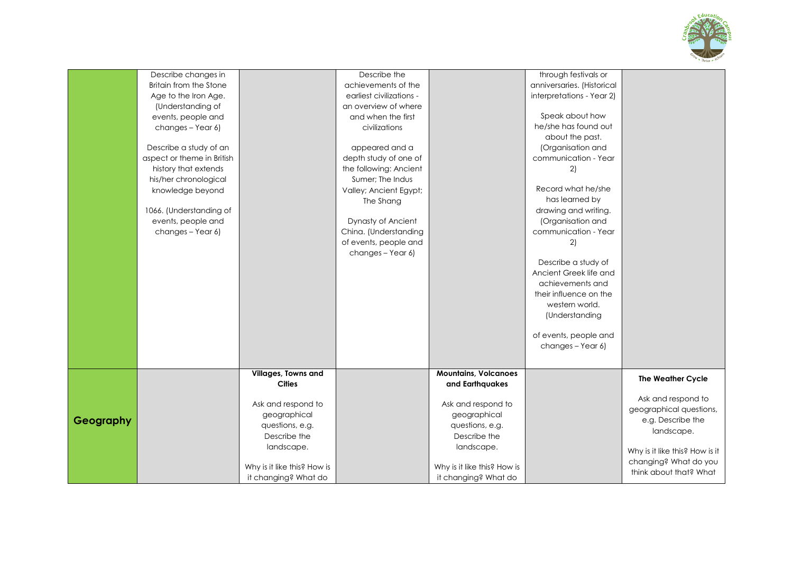

|           | Describe changes in        |                             | Describe the             |                             | through festivals or       |                                |
|-----------|----------------------------|-----------------------------|--------------------------|-----------------------------|----------------------------|--------------------------------|
|           | Britain from the Stone     |                             | achievements of the      |                             | anniversaries. (Historical |                                |
|           | Age to the Iron Age.       |                             | earliest civilizations - |                             | interpretations - Year 2)  |                                |
|           | (Understanding of          |                             | an overview of where     |                             |                            |                                |
|           | events, people and         |                             | and when the first       |                             | Speak about how            |                                |
|           | changes - Year 6)          |                             | civilizations            |                             | he/she has found out       |                                |
|           |                            |                             |                          |                             | about the past.            |                                |
|           | Describe a study of an     |                             | appeared and a           |                             | (Organisation and          |                                |
|           | aspect or theme in British |                             | depth study of one of    |                             | communication - Year       |                                |
|           | history that extends       |                             | the following: Ancient   |                             | 2)                         |                                |
|           | his/her chronological      |                             | Sumer; The Indus         |                             |                            |                                |
|           | knowledge beyond           |                             | Valley; Ancient Egypt;   |                             | Record what he/she         |                                |
|           |                            |                             | The Shang                |                             | has learned by             |                                |
|           | 1066. (Understanding of    |                             |                          |                             | drawing and writing.       |                                |
|           | events, people and         |                             | Dynasty of Ancient       |                             | (Organisation and          |                                |
|           | changes - Year 6)          |                             | China. (Understanding    |                             | communication - Year       |                                |
|           |                            |                             | of events, people and    |                             | 2)                         |                                |
|           |                            |                             | changes - Year 6)        |                             |                            |                                |
|           |                            |                             |                          |                             | Describe a study of        |                                |
|           |                            |                             |                          |                             | Ancient Greek life and     |                                |
|           |                            |                             |                          |                             | achievements and           |                                |
|           |                            |                             |                          |                             | their influence on the     |                                |
|           |                            |                             |                          |                             | western world.             |                                |
|           |                            |                             |                          |                             | (Understanding             |                                |
|           |                            |                             |                          |                             | of events, people and      |                                |
|           |                            |                             |                          |                             | changes - Year 6)          |                                |
|           |                            |                             |                          |                             |                            |                                |
|           |                            | Villages, Towns and         |                          | <b>Mountains, Volcanoes</b> |                            |                                |
|           |                            | <b>Cities</b>               |                          | and Earthquakes             |                            | <b>The Weather Cycle</b>       |
|           |                            |                             |                          |                             |                            | Ask and respond to             |
|           |                            | Ask and respond to          |                          | Ask and respond to          |                            | geographical questions,        |
| Geography |                            | geographical                |                          | geographical                |                            | e.g. Describe the              |
|           |                            | questions, e.g.             |                          | questions, e.g.             |                            | landscape.                     |
|           |                            | Describe the                |                          | Describe the                |                            |                                |
|           |                            | landscape.                  |                          | landscape.                  |                            | Why is it like this? How is it |
|           |                            |                             |                          |                             |                            | changing? What do you          |
|           |                            | Why is it like this? How is |                          | Why is it like this? How is |                            | think about that? What         |
|           |                            | it changing? What do        |                          | it changing? What do        |                            |                                |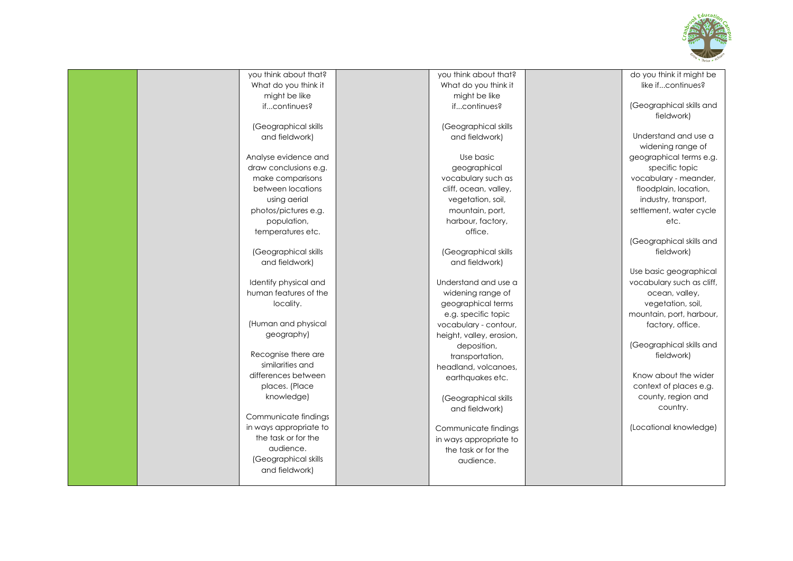

|  | you think about that?  | you think about that?    | do you think it might be  |
|--|------------------------|--------------------------|---------------------------|
|  | What do you think it   | What do you think it     | like ifcontinues?         |
|  | might be like          | might be like            |                           |
|  | ifcontinues?           | ifcontinues?             | (Geographical skills and  |
|  |                        |                          | fieldwork)                |
|  | (Geographical skills   | (Geographical skills     |                           |
|  | and fieldwork)         | and fieldwork)           | Understand and use a      |
|  |                        |                          | widening range of         |
|  | Analyse evidence and   | Use basic                | geographical terms e.g.   |
|  | draw conclusions e.g.  | geographical             | specific topic            |
|  | make comparisons       | vocabulary such as       | vocabulary - meander,     |
|  | between locations      | cliff, ocean, valley,    | floodplain, location,     |
|  | using aerial           | vegetation, soil,        | industry, transport,      |
|  | photos/pictures e.g.   | mountain, port,          | settlement, water cycle   |
|  | population,            | harbour, factory,        | etc.                      |
|  | temperatures etc.      | office.                  |                           |
|  |                        |                          | (Geographical skills and  |
|  | (Geographical skills   | (Geographical skills     | fieldwork)                |
|  | and fieldwork)         | and fieldwork)           |                           |
|  |                        |                          | Use basic geographical    |
|  | Identify physical and  | Understand and use a     | vocabulary such as cliff, |
|  | human features of the  | widening range of        | ocean, valley,            |
|  | locality.              | geographical terms       | vegetation, soil,         |
|  |                        | e.g. specific topic      | mountain, port, harbour,  |
|  | (Human and physical    | vocabulary - contour,    | factory, office.          |
|  | geography)             | height, valley, erosion, |                           |
|  |                        | deposition,              | (Geographical skills and  |
|  | Recognise there are    | transportation,          | fieldwork)                |
|  | similarities and       | headland, volcanoes,     |                           |
|  | differences between    | earthquakes etc.         | Know about the wider      |
|  | places. (Place         |                          | context of places e.g.    |
|  | knowledge)             | (Geographical skills     | county, region and        |
|  |                        | and fieldwork)           | country.                  |
|  | Communicate findings   |                          |                           |
|  | in ways appropriate to | Communicate findings     | (Locational knowledge)    |
|  | the task or for the    | in ways appropriate to   |                           |
|  | audience.              | the task or for the      |                           |
|  | (Geographical skills   | audience.                |                           |
|  | and fieldwork)         |                          |                           |
|  |                        |                          |                           |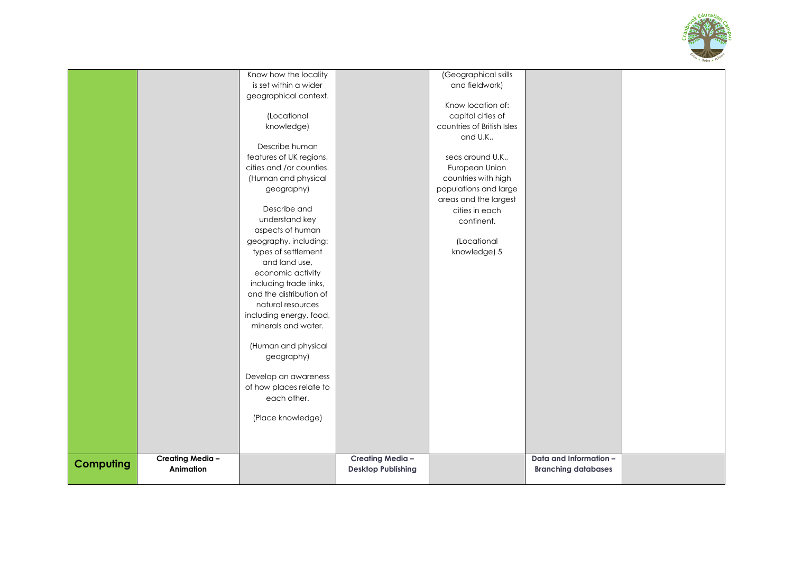

|                  |                 | Know how the locality    |                           | (Geographical skills       |                            |  |
|------------------|-----------------|--------------------------|---------------------------|----------------------------|----------------------------|--|
|                  |                 | is set within a wider    |                           | and fieldwork)             |                            |  |
|                  |                 | geographical context.    |                           |                            |                            |  |
|                  |                 |                          |                           | Know location of:          |                            |  |
|                  |                 | (Locational              |                           | capital cities of          |                            |  |
|                  |                 | knowledge)               |                           | countries of British Isles |                            |  |
|                  |                 |                          |                           | and U.K.,                  |                            |  |
|                  |                 | Describe human           |                           |                            |                            |  |
|                  |                 | features of UK regions,  |                           | seas around U.K.,          |                            |  |
|                  |                 | cities and /or counties. |                           | European Union             |                            |  |
|                  |                 | (Human and physical      |                           | countries with high        |                            |  |
|                  |                 | geography)               |                           | populations and large      |                            |  |
|                  |                 |                          |                           | areas and the largest      |                            |  |
|                  |                 | Describe and             |                           | cities in each             |                            |  |
|                  |                 | understand key           |                           | continent.                 |                            |  |
|                  |                 | aspects of human         |                           |                            |                            |  |
|                  |                 | geography, including:    |                           | (Locational                |                            |  |
|                  |                 | types of settlement      |                           | knowledge) 5               |                            |  |
|                  |                 | and land use,            |                           |                            |                            |  |
|                  |                 | economic activity        |                           |                            |                            |  |
|                  |                 | including trade links,   |                           |                            |                            |  |
|                  |                 | and the distribution of  |                           |                            |                            |  |
|                  |                 | natural resources        |                           |                            |                            |  |
|                  |                 | including energy, food,  |                           |                            |                            |  |
|                  |                 | minerals and water.      |                           |                            |                            |  |
|                  |                 | (Human and physical      |                           |                            |                            |  |
|                  |                 | geography)               |                           |                            |                            |  |
|                  |                 | Develop an awareness     |                           |                            |                            |  |
|                  |                 | of how places relate to  |                           |                            |                            |  |
|                  |                 | each other.              |                           |                            |                            |  |
|                  |                 | (Place knowledge)        |                           |                            |                            |  |
|                  |                 |                          |                           |                            |                            |  |
|                  |                 |                          |                           |                            |                            |  |
|                  | Creating Media- |                          | Creating Media-           |                            | Data and Information -     |  |
| <b>Computing</b> | Animation       |                          | <b>Desktop Publishing</b> |                            | <b>Branching databases</b> |  |
|                  |                 |                          |                           |                            |                            |  |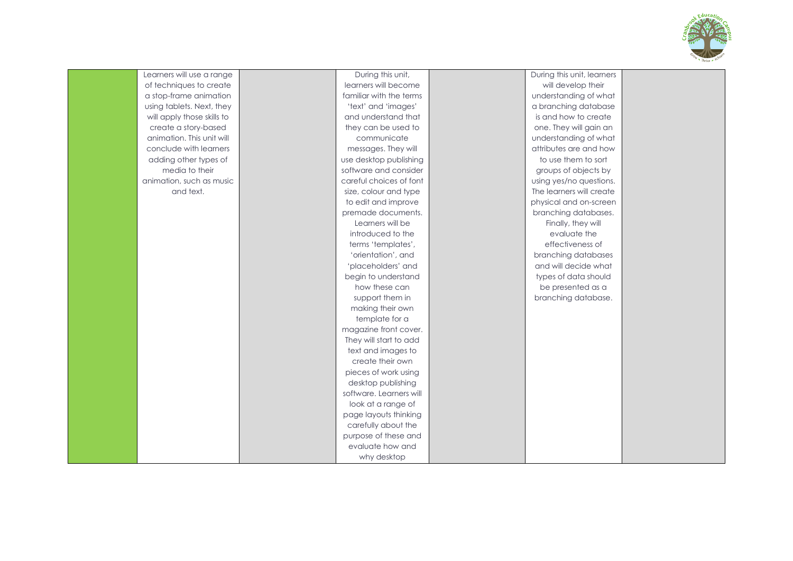

| Learners will use a range  | During this unit,       | During this unit, learners |  |
|----------------------------|-------------------------|----------------------------|--|
| of techniques to create    | learners will become    | will develop their         |  |
| a stop-frame animation     | familiar with the terms | understanding of what      |  |
| using tablets. Next, they  | 'text' and 'images'     | a branching database       |  |
| will apply those skills to | and understand that     | is and how to create       |  |
| create a story-based       | they can be used to     | one. They will gain an     |  |
| animation. This unit will  | communicate             | understanding of what      |  |
| conclude with learners     | messages. They will     | attributes are and how     |  |
| adding other types of      | use desktop publishing  | to use them to sort        |  |
| media to their             | software and consider   | groups of objects by       |  |
| animation, such as music   | careful choices of font | using yes/no questions.    |  |
| and text.                  | size, colour and type   | The learners will create   |  |
|                            | to edit and improve     | physical and on-screen     |  |
|                            | premade documents.      | branching databases.       |  |
|                            | Learners will be        | Finally, they will         |  |
|                            | introduced to the       | evaluate the               |  |
|                            | terms 'templates',      | effectiveness of           |  |
|                            | 'orientation', and      | branching databases        |  |
|                            | 'placeholders' and      | and will decide what       |  |
|                            | begin to understand     | types of data should       |  |
|                            | how these can           | be presented as a          |  |
|                            | support them in         | branching database.        |  |
|                            | making their own        |                            |  |
|                            | template for a          |                            |  |
|                            | magazine front cover.   |                            |  |
|                            | They will start to add  |                            |  |
|                            | text and images to      |                            |  |
|                            | create their own        |                            |  |
|                            | pieces of work using    |                            |  |
|                            | desktop publishing      |                            |  |
|                            | software. Learners will |                            |  |
|                            | look at a range of      |                            |  |
|                            | page layouts thinking   |                            |  |
|                            | carefully about the     |                            |  |
|                            | purpose of these and    |                            |  |
|                            | evaluate how and        |                            |  |
|                            | why desktop             |                            |  |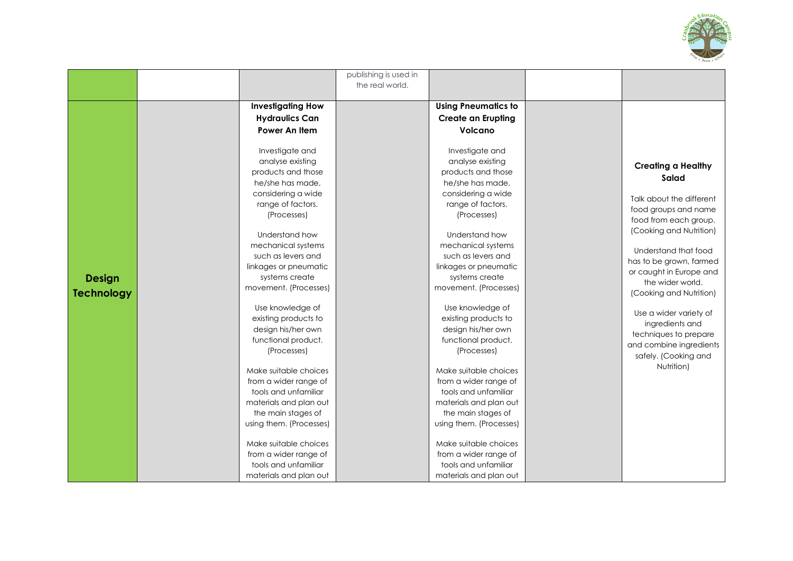

|                   |                          | publishing is used in |                            |  |                                                                                                   |
|-------------------|--------------------------|-----------------------|----------------------------|--|---------------------------------------------------------------------------------------------------|
|                   |                          | the real world.       |                            |  |                                                                                                   |
|                   |                          |                       |                            |  |                                                                                                   |
|                   | <b>Investigating How</b> |                       | <b>Using Pneumatics to</b> |  |                                                                                                   |
|                   | <b>Hydraulics Can</b>    |                       | <b>Create an Erupting</b>  |  |                                                                                                   |
|                   | Power An Item            |                       | Volcano                    |  |                                                                                                   |
|                   |                          |                       |                            |  |                                                                                                   |
|                   | Investigate and          |                       | Investigate and            |  |                                                                                                   |
|                   | analyse existing         |                       | analyse existing           |  |                                                                                                   |
|                   | products and those       |                       | products and those         |  | <b>Creating a Healthy</b>                                                                         |
|                   | he/she has made,         |                       | he/she has made,           |  | Salad                                                                                             |
|                   | considering a wide       |                       | considering a wide         |  | Talk about the different                                                                          |
|                   | range of factors.        |                       | range of factors.          |  |                                                                                                   |
|                   | (Processes)              |                       | (Processes)                |  | food groups and name                                                                              |
|                   |                          |                       |                            |  | food from each group.                                                                             |
|                   | Understand how           |                       | Understand how             |  | (Cooking and Nutrition)                                                                           |
|                   | mechanical systems       |                       | mechanical systems         |  | Understand that food                                                                              |
|                   | such as levers and       |                       | such as levers and         |  | has to be grown, farmed<br>or caught in Europe and<br>the wider world.<br>(Cooking and Nutrition) |
|                   | linkages or pneumatic    |                       | linkages or pneumatic      |  |                                                                                                   |
| <b>Design</b>     | systems create           |                       | systems create             |  |                                                                                                   |
| <b>Technology</b> | movement. (Processes)    |                       | movement. (Processes)      |  |                                                                                                   |
|                   |                          |                       |                            |  |                                                                                                   |
|                   | Use knowledge of         |                       | Use knowledge of           |  | Use a wider variety of                                                                            |
|                   | existing products to     |                       | existing products to       |  | ingredients and                                                                                   |
|                   | design his/her own       |                       | design his/her own         |  | techniques to prepare                                                                             |
|                   | functional product.      |                       | functional product.        |  | and combine ingredients                                                                           |
|                   | (Processes)              |                       | (Processes)                |  | safely. (Cooking and                                                                              |
|                   | Make suitable choices    |                       | Make suitable choices      |  | Nutrition)                                                                                        |
|                   | from a wider range of    |                       | from a wider range of      |  |                                                                                                   |
|                   | tools and unfamiliar     |                       | tools and unfamiliar       |  |                                                                                                   |
|                   | materials and plan out   |                       | materials and plan out     |  |                                                                                                   |
|                   | the main stages of       |                       | the main stages of         |  |                                                                                                   |
|                   | using them. (Processes)  |                       | using them. (Processes)    |  |                                                                                                   |
|                   |                          |                       |                            |  |                                                                                                   |
|                   | Make suitable choices    |                       | Make suitable choices      |  |                                                                                                   |
|                   | from a wider range of    |                       | from a wider range of      |  |                                                                                                   |
|                   | tools and unfamiliar     |                       | tools and unfamiliar       |  |                                                                                                   |
|                   | materials and plan out   |                       | materials and plan out     |  |                                                                                                   |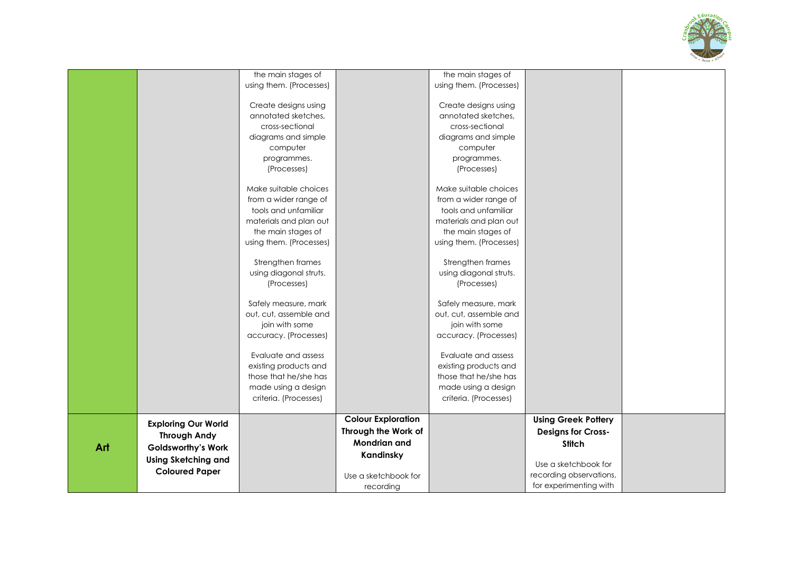

|     |                            | using them. (Processes)<br>Create designs using |                           | using them. (Processes)<br>Create designs using |                                                   |  |
|-----|----------------------------|-------------------------------------------------|---------------------------|-------------------------------------------------|---------------------------------------------------|--|
|     |                            | annotated sketches,                             |                           | annotated sketches,                             |                                                   |  |
|     |                            | cross-sectional                                 |                           | cross-sectional                                 |                                                   |  |
|     |                            | diagrams and simple<br>computer                 |                           | diagrams and simple<br>computer                 |                                                   |  |
|     |                            | programmes.                                     |                           | programmes.                                     |                                                   |  |
|     |                            | (Processes)                                     |                           | (Processes)                                     |                                                   |  |
|     |                            | Make suitable choices                           |                           | Make suitable choices                           |                                                   |  |
|     |                            | from a wider range of                           |                           | from a wider range of                           |                                                   |  |
|     |                            | tools and unfamiliar<br>materials and plan out  |                           | tools and unfamiliar<br>materials and plan out  |                                                   |  |
|     |                            | the main stages of                              |                           | the main stages of                              |                                                   |  |
|     |                            | using them. (Processes)                         |                           | using them. (Processes)                         |                                                   |  |
|     |                            |                                                 |                           |                                                 |                                                   |  |
|     |                            | Strengthen frames                               |                           | Strengthen frames                               |                                                   |  |
|     |                            | using diagonal struts.                          |                           | using diagonal struts.                          |                                                   |  |
|     |                            | (Processes)                                     |                           | (Processes)                                     |                                                   |  |
|     |                            | Safely measure, mark                            |                           | Safely measure, mark                            |                                                   |  |
|     |                            | out, cut, assemble and                          |                           | out, cut, assemble and                          |                                                   |  |
|     |                            | join with some                                  |                           | join with some                                  |                                                   |  |
|     |                            | accuracy. (Processes)                           |                           | accuracy. (Processes)                           |                                                   |  |
|     |                            | Evaluate and assess                             |                           | Evaluate and assess                             |                                                   |  |
|     |                            | existing products and                           |                           | existing products and                           |                                                   |  |
|     |                            | those that he/she has                           |                           | those that he/she has                           |                                                   |  |
|     |                            | made using a design                             |                           | made using a design                             |                                                   |  |
|     |                            | criteria. (Processes)                           |                           | criteria. (Processes)                           |                                                   |  |
|     | <b>Exploring Our World</b> |                                                 | <b>Colour Exploration</b> |                                                 | <b>Using Greek Pottery</b>                        |  |
|     | <b>Through Andy</b>        |                                                 | Through the Work of       |                                                 | <b>Designs for Cross-</b>                         |  |
| Art | <b>Goldsworthy's Work</b>  |                                                 | <b>Mondrian and</b>       |                                                 | <b>Stitch</b>                                     |  |
|     | <b>Using Sketching and</b> |                                                 | Kandinsky                 |                                                 |                                                   |  |
|     | <b>Coloured Paper</b>      |                                                 |                           |                                                 | Use a sketchbook for                              |  |
|     |                            |                                                 | Use a sketchbook for      |                                                 | recording observations,<br>for experimenting with |  |
|     |                            |                                                 | recording                 |                                                 |                                                   |  |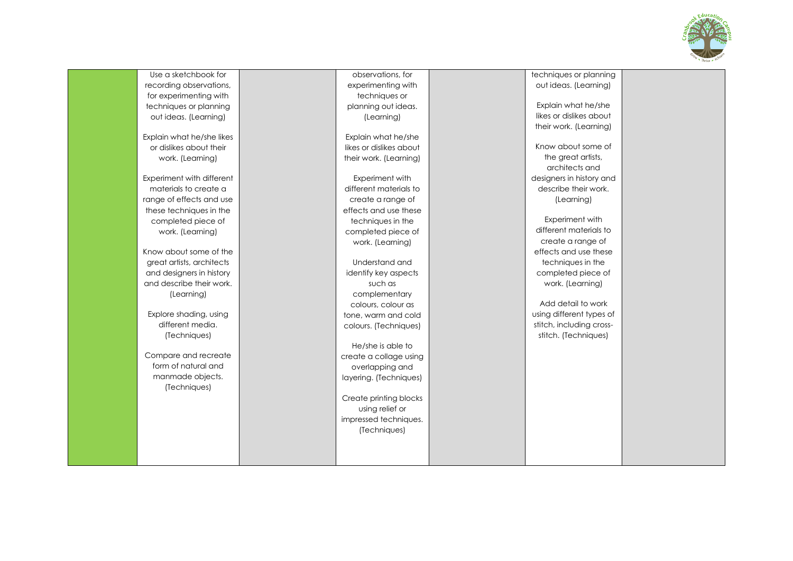

Use a sketchbook for recording observations, for experimenting with techniques or planning out ideas. (Learning)

Explain what he/she likes or dislikes about their work. (Learning)

Experiment with different materials to create a range of effects and use these techniques in the completed piece of work. (Learning)

Know about some of the great artists, architects and designers in history and describe their work. (Learning)

Explore shading, using different media. (Techniques)

Compare and recreate form of natural and manmade objects. (Techniques)

observations, for experimenting with techniques or planning out ideas. (Learning)

Explain what he/she likes or dislikes about their work. (Learning)

Experiment with different materials to create a range of effects and use these techniques in the completed piece of work. (Learning)

Understand and identify key aspects such as complementary colours, colour as tone, warm and cold colours. (Techniques)

He/she is able to create a collage using overlapping and layering. (Techniques)

Create printing blocks using relief or impressed techniques. (Techniques)

techniques or planning out ideas. (Learning)

Explain what he/she likes or dislikes about their work. (Learning)

Know about some of the great artists. architects and designers in history and describe their work. (Learning)

Experiment with different materials to create a range of effects and use these techniques in the completed piece of work. (Learning)

Add detail to work using different types of stitch, including cross stitch. (Techniques)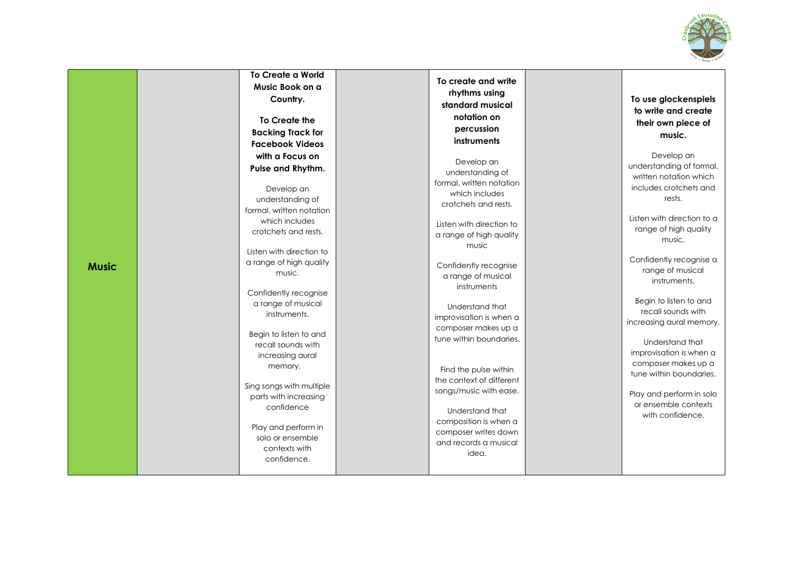

|              | <b>To Create a World</b><br>Music Book on a<br>Country.<br>To Create the<br><b>Backing Track for</b><br><b>Facebook Videos</b>                                                                                                                                                                                                                                                                                                                                                                            | To create and write<br>rhythms using<br>standard musical<br>notation on<br>percussion<br>instruments                                                                                                                                                                                                                                                                                                                                                                                                                    | To use glockenspiels<br>to write and create<br>their own piece of<br>music.                                                                                                                                                                                                                                                                                                                                                                                                              |
|--------------|-----------------------------------------------------------------------------------------------------------------------------------------------------------------------------------------------------------------------------------------------------------------------------------------------------------------------------------------------------------------------------------------------------------------------------------------------------------------------------------------------------------|-------------------------------------------------------------------------------------------------------------------------------------------------------------------------------------------------------------------------------------------------------------------------------------------------------------------------------------------------------------------------------------------------------------------------------------------------------------------------------------------------------------------------|------------------------------------------------------------------------------------------------------------------------------------------------------------------------------------------------------------------------------------------------------------------------------------------------------------------------------------------------------------------------------------------------------------------------------------------------------------------------------------------|
| <b>Music</b> | with a Focus on<br>Pulse and Rhythm.<br>Develop an<br>understanding of<br>formal, written notation<br>which includes<br>crotchets and rests.<br>Listen with direction to<br>a range of high quality<br>music.<br>Confidently recognise<br>a range of musical<br>instruments.<br>Begin to listen to and<br>recall sounds with<br>increasing aural<br>memory.<br>Sing songs with multiple<br>parts with increasing<br>confidence<br>Play and perform in<br>solo or ensemble<br>contexts with<br>confidence. | Develop an<br>understanding of<br>formal, written notation<br>which includes<br>crotchets and rests.<br>Listen with direction to<br>a range of high quality<br>music<br>Confidently recognise<br>a range of musical<br>instruments<br>Understand that<br>improvisation is when a<br>composer makes up a<br>tune within boundaries.<br>Find the pulse within<br>the context of different<br>songs/music with ease.<br>Understand that<br>composition is when a<br>composer writes down<br>and records a musical<br>idea. | Develop an<br>understanding of formal,<br>written notation which<br>includes crotchets and<br>rests.<br>Listen with direction to a<br>range of high quality<br>music.<br>Confidently recognise a<br>range of musical<br>instruments.<br>Begin to listen to and<br>recall sounds with<br>increasing aural memory.<br>Understand that<br>improvisation is when a<br>composer makes up a<br>tune within boundaries.<br>Play and perform in solo<br>or ensemble contexts<br>with confidence. |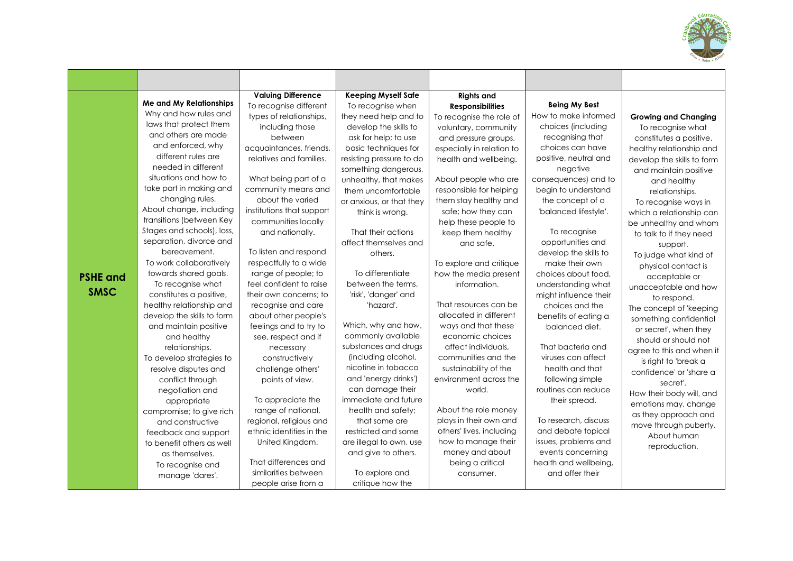

|                                                                                                                                                                                                                                                                                                                                                                                                                                                                                                                                                                                                                                                                                                                                                                                                                                                                        | <b>Valuing Difference</b>                                                                                                                                                                                                                                                                                                                                                                                                                                                                                                                                                                                                                                                                                 | <b>Keeping Myself Safe</b>                                                                                                                                                                                                                                                                                                                                                                                                                                                                                                                                                                                                                                                                                            | <b>Rights and</b>                                                                                                                                                                                                                                                                                                                                                                                                                                                                                                                                                                                                                                                                                                          |                                                                                                                                                                                                                                                                                                                                                                                                                                                                                                                                                                                                                                                                                     |                                                                                                                                                                                                                                                                                                                                                                                                                                                                                                                                                                                                                                                                                                                                                                    |
|------------------------------------------------------------------------------------------------------------------------------------------------------------------------------------------------------------------------------------------------------------------------------------------------------------------------------------------------------------------------------------------------------------------------------------------------------------------------------------------------------------------------------------------------------------------------------------------------------------------------------------------------------------------------------------------------------------------------------------------------------------------------------------------------------------------------------------------------------------------------|-----------------------------------------------------------------------------------------------------------------------------------------------------------------------------------------------------------------------------------------------------------------------------------------------------------------------------------------------------------------------------------------------------------------------------------------------------------------------------------------------------------------------------------------------------------------------------------------------------------------------------------------------------------------------------------------------------------|-----------------------------------------------------------------------------------------------------------------------------------------------------------------------------------------------------------------------------------------------------------------------------------------------------------------------------------------------------------------------------------------------------------------------------------------------------------------------------------------------------------------------------------------------------------------------------------------------------------------------------------------------------------------------------------------------------------------------|----------------------------------------------------------------------------------------------------------------------------------------------------------------------------------------------------------------------------------------------------------------------------------------------------------------------------------------------------------------------------------------------------------------------------------------------------------------------------------------------------------------------------------------------------------------------------------------------------------------------------------------------------------------------------------------------------------------------------|-------------------------------------------------------------------------------------------------------------------------------------------------------------------------------------------------------------------------------------------------------------------------------------------------------------------------------------------------------------------------------------------------------------------------------------------------------------------------------------------------------------------------------------------------------------------------------------------------------------------------------------------------------------------------------------|--------------------------------------------------------------------------------------------------------------------------------------------------------------------------------------------------------------------------------------------------------------------------------------------------------------------------------------------------------------------------------------------------------------------------------------------------------------------------------------------------------------------------------------------------------------------------------------------------------------------------------------------------------------------------------------------------------------------------------------------------------------------|
| Me and My Relationships<br>Why and how rules and<br>laws that protect them<br>and others are made<br>and enforced, why<br>different rules are<br>needed in different<br>situations and how to<br>take part in making and<br>changing rules.<br>About change, including<br>transitions (between Key<br>Stages and schools), loss,<br>separation, divorce and<br>bereavement.<br>To work collaboratively<br>towards shared goals.<br><b>PSHE and</b><br>To recognise what<br><b>SMSC</b><br>constitutes a positive,<br>healthy relationship and<br>develop the skills to form<br>and maintain positive<br>and healthy<br>relationships.<br>To develop strategies to<br>resolve disputes and<br>conflict through<br>negotiation and<br>appropriate<br>compromise; to give rich<br>and constructive<br>feedback and support<br>to benefit others as well<br>as themselves. | To recognise different<br>types of relationships,<br>including those<br>between<br>acquaintances, friends,<br>relatives and families.<br>What being part of a<br>community means and<br>about the varied<br>institutions that support<br>communities locally<br>and nationally.<br>To listen and respond<br>respectfully to a wide<br>range of people; to<br>feel confident to raise<br>their own concerns; to<br>recognise and care<br>about other people's<br>feelings and to try to<br>see, respect and if<br>necessary<br>constructively<br>challenge others'<br>points of view.<br>To appreciate the<br>range of national,<br>regional, religious and<br>ethnic identities in the<br>United Kingdom. | To recognise when<br>they need help and to<br>develop the skills to<br>ask for help; to use<br>basic techniques for<br>resisting pressure to do<br>something dangerous,<br>unhealthy, that makes<br>them uncomfortable<br>or anxious, or that they<br>think is wrong.<br>That their actions<br>affect themselves and<br>others.<br>To differentiate<br>between the terms.<br>'risk', 'danger' and<br>'hazard'.<br>Which, why and how,<br>commonly available<br>substances and drugs<br>(including alcohol,<br>nicotine in tobacco<br>and 'energy drinks')<br>can damage their<br>immediate and future<br>health and safety;<br>that some are<br>restricted and some<br>are illegal to own, use<br>and give to others. | <b>Responsibilities</b><br>To recognise the role of<br>voluntary, community<br>and pressure groups,<br>especially in relation to<br>health and wellbeing.<br>About people who are<br>responsible for helping<br>them stay healthy and<br>safe; how they can<br>help these people to<br>keep them healthy<br>and safe.<br>To explore and critique<br>how the media present<br>information.<br>That resources can be<br>allocated in different<br>ways and that these<br>economic choices<br>affect individuals.<br>communities and the<br>sustainability of the<br>environment across the<br>world.<br>About the role money<br>plays in their own and<br>others' lives, including<br>how to manage their<br>money and about | <b>Being My Best</b><br>How to make informed<br>choices (including<br>recognising that<br>choices can have<br>positive, neutral and<br>negative<br>consequences) and to<br>begin to understand<br>the concept of a<br>'balanced lifestyle'.<br>To recognise<br>opportunities and<br>develop the skills to<br>make their own<br>choices about food,<br>understanding what<br>might influence their<br>choices and the<br>benefits of eating a<br>balanced diet.<br>That bacteria and<br>viruses can affect<br>health and that<br>following simple<br>routines can reduce<br>their spread.<br>To research, discuss<br>and debate topical<br>issues, problems and<br>events concerning | <b>Growing and Changing</b><br>To recognise what<br>constitutes a positive,<br>healthy relationship and<br>develop the skills to form<br>and maintain positive<br>and healthy<br>relationships.<br>To recognise ways in<br>which a relationship can<br>be unhealthy and whom<br>to talk to if they need<br>support.<br>To judge what kind of<br>physical contact is<br>acceptable or<br>unacceptable and how<br>to respond.<br>The concept of 'keeping<br>something confidential<br>or secret', when they<br>should or should not<br>agree to this and when it<br>is right to 'break a<br>confidence' or 'share a<br>secret'.<br>How their body will, and<br>emotions may, change<br>as they approach and<br>move through puberty.<br>About human<br>reproduction. |
| To recognise and<br>manage 'dares'.                                                                                                                                                                                                                                                                                                                                                                                                                                                                                                                                                                                                                                                                                                                                                                                                                                    | That differences and<br>similarities between<br>people arise from a                                                                                                                                                                                                                                                                                                                                                                                                                                                                                                                                                                                                                                       | To explore and<br>critique how the                                                                                                                                                                                                                                                                                                                                                                                                                                                                                                                                                                                                                                                                                    | being a critical<br>consumer.                                                                                                                                                                                                                                                                                                                                                                                                                                                                                                                                                                                                                                                                                              | health and wellbeing,<br>and offer their                                                                                                                                                                                                                                                                                                                                                                                                                                                                                                                                                                                                                                            |                                                                                                                                                                                                                                                                                                                                                                                                                                                                                                                                                                                                                                                                                                                                                                    |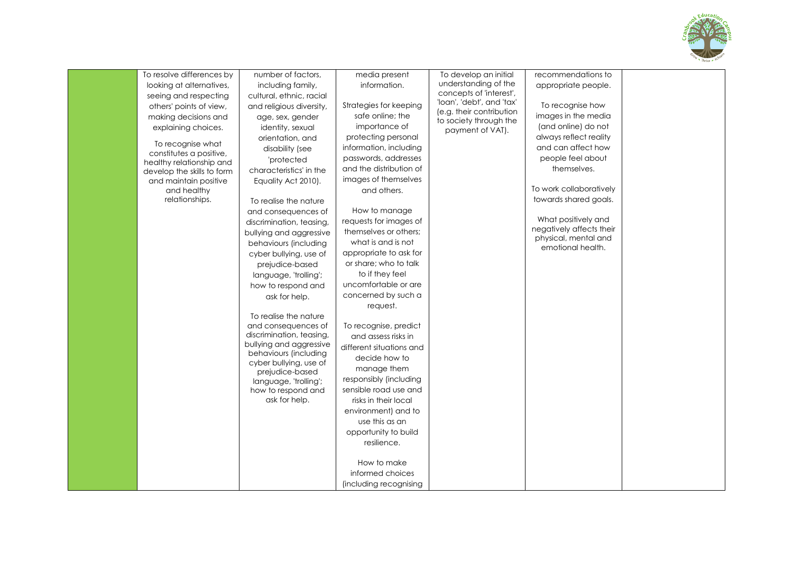

| To resolve differences by  | number of factors,                              | media present                   | To develop an initial                                | recommendations to                              |  |
|----------------------------|-------------------------------------------------|---------------------------------|------------------------------------------------------|-------------------------------------------------|--|
| looking at alternatives,   | including family,                               | information.                    | understanding of the                                 | appropriate people.                             |  |
| seeing and respecting      | cultural, ethnic, racial                        |                                 | concepts of 'interest',<br>'loan', 'debt', and 'tax' |                                                 |  |
| others' points of view,    | and religious diversity,                        | Strategies for keeping          | (e.g. their contribution                             | To recognise how                                |  |
| making decisions and       | age, sex, gender                                | safe online; the                | to society through the                               | images in the media                             |  |
| explaining choices.        | identity, sexual                                | importance of                   | payment of VAT).                                     | (and online) do not                             |  |
| To recognise what          | orientation, and                                | protecting personal             |                                                      | always reflect reality                          |  |
| constitutes a positive,    | disability (see                                 | information, including          |                                                      | and can affect how                              |  |
| healthy relationship and   | 'protected                                      | passwords, addresses            |                                                      | people feel about                               |  |
| develop the skills to form | characteristics' in the                         | and the distribution of         |                                                      | themselves.                                     |  |
| and maintain positive      | Equality Act 2010).                             | images of themselves            |                                                      |                                                 |  |
| and healthy                |                                                 | and others.                     |                                                      | To work collaboratively                         |  |
| relationships.             | To realise the nature                           |                                 |                                                      | towards shared goals.                           |  |
|                            | and consequences of                             | How to manage                   |                                                      |                                                 |  |
|                            | discrimination, teasing,                        | requests for images of          |                                                      | What positively and<br>negatively affects their |  |
|                            | bullying and aggressive                         | themselves or others;           |                                                      | physical, mental and                            |  |
|                            | behaviours (including                           | what is and is not              |                                                      | emotional health.                               |  |
|                            | cyber bullying, use of                          | appropriate to ask for          |                                                      |                                                 |  |
|                            | prejudice-based                                 | or share; who to talk           |                                                      |                                                 |  |
|                            | language, 'trolling';                           | to if they feel                 |                                                      |                                                 |  |
|                            | how to respond and                              | uncomfortable or are            |                                                      |                                                 |  |
|                            | ask for help.                                   | concerned by such a             |                                                      |                                                 |  |
|                            |                                                 | request.                        |                                                      |                                                 |  |
|                            | To realise the nature                           |                                 |                                                      |                                                 |  |
|                            | and consequences of<br>discrimination, teasing, | To recognise, predict           |                                                      |                                                 |  |
|                            | bullying and aggressive                         | and assess risks in             |                                                      |                                                 |  |
|                            | behaviours (including                           | different situations and        |                                                      |                                                 |  |
|                            | cyber bullying, use of                          | decide how to                   |                                                      |                                                 |  |
|                            | prejudice-based                                 | manage them                     |                                                      |                                                 |  |
|                            | language, 'trolling';                           | responsibly (including          |                                                      |                                                 |  |
|                            | how to respond and                              | sensible road use and           |                                                      |                                                 |  |
|                            | ask for help.                                   | risks in their local            |                                                      |                                                 |  |
|                            |                                                 | environment) and to             |                                                      |                                                 |  |
|                            |                                                 | use this as an                  |                                                      |                                                 |  |
|                            |                                                 | opportunity to build            |                                                      |                                                 |  |
|                            |                                                 | resilience.                     |                                                      |                                                 |  |
|                            |                                                 |                                 |                                                      |                                                 |  |
|                            |                                                 | How to make<br>informed choices |                                                      |                                                 |  |
|                            |                                                 |                                 |                                                      |                                                 |  |
|                            |                                                 | (including recognising          |                                                      |                                                 |  |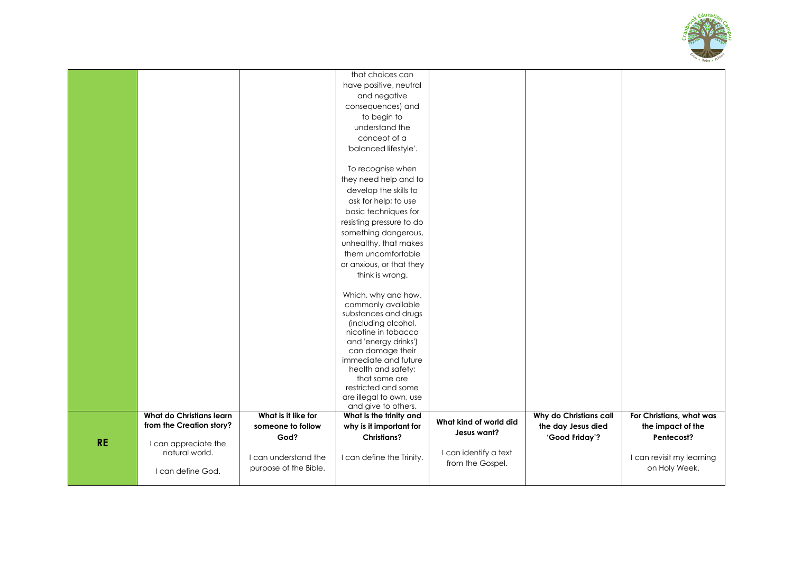

|           |                                 |                       | that choices can                               |                        |                        |                           |
|-----------|---------------------------------|-----------------------|------------------------------------------------|------------------------|------------------------|---------------------------|
|           |                                 |                       | have positive, neutral                         |                        |                        |                           |
|           |                                 |                       | and negative                                   |                        |                        |                           |
|           |                                 |                       | consequences) and                              |                        |                        |                           |
|           |                                 |                       | to begin to                                    |                        |                        |                           |
|           |                                 |                       | understand the                                 |                        |                        |                           |
|           |                                 |                       | concept of a                                   |                        |                        |                           |
|           |                                 |                       | 'balanced lifestyle'.                          |                        |                        |                           |
|           |                                 |                       |                                                |                        |                        |                           |
|           |                                 |                       | To recognise when                              |                        |                        |                           |
|           |                                 |                       | they need help and to                          |                        |                        |                           |
|           |                                 |                       | develop the skills to                          |                        |                        |                           |
|           |                                 |                       | ask for help; to use                           |                        |                        |                           |
|           |                                 |                       | basic techniques for                           |                        |                        |                           |
|           |                                 |                       | resisting pressure to do                       |                        |                        |                           |
|           |                                 |                       | something dangerous,                           |                        |                        |                           |
|           |                                 |                       | unhealthy, that makes                          |                        |                        |                           |
|           |                                 |                       | them uncomfortable                             |                        |                        |                           |
|           |                                 |                       | or anxious, or that they                       |                        |                        |                           |
|           |                                 |                       | think is wrong.                                |                        |                        |                           |
|           |                                 |                       |                                                |                        |                        |                           |
|           |                                 |                       | Which, why and how,                            |                        |                        |                           |
|           |                                 |                       | commonly available                             |                        |                        |                           |
|           |                                 |                       | substances and drugs                           |                        |                        |                           |
|           |                                 |                       | (including alcohol,<br>nicotine in tobacco     |                        |                        |                           |
|           |                                 |                       | and 'energy drinks')                           |                        |                        |                           |
|           |                                 |                       | can damage their                               |                        |                        |                           |
|           |                                 |                       | immediate and future                           |                        |                        |                           |
|           |                                 |                       | health and safety;                             |                        |                        |                           |
|           |                                 |                       | that some are                                  |                        |                        |                           |
|           |                                 |                       | restricted and some                            |                        |                        |                           |
|           |                                 |                       | are illegal to own, use                        |                        |                        |                           |
|           | <b>What do Christians learn</b> | What is it like for   | and give to others.<br>What is the trinity and |                        | Why do Christians call | For Christians, what was  |
|           | from the Creation story?        | someone to follow     | why is it important for                        | What kind of world did | the day Jesus died     | the impact of the         |
|           |                                 | God?                  | <b>Christians?</b>                             | Jesus want?            | 'Good Friday'?         | Pentecost?                |
| <b>RE</b> | I can appreciate the            |                       |                                                |                        |                        |                           |
|           | natural world.                  | I can understand the  | I can define the Trinity.                      | I can identify a text  |                        | I can revisit my learning |
|           |                                 | purpose of the Bible. |                                                | from the Gospel.       |                        | on Holy Week.             |
|           | I can define God.               |                       |                                                |                        |                        |                           |
|           |                                 |                       |                                                |                        |                        |                           |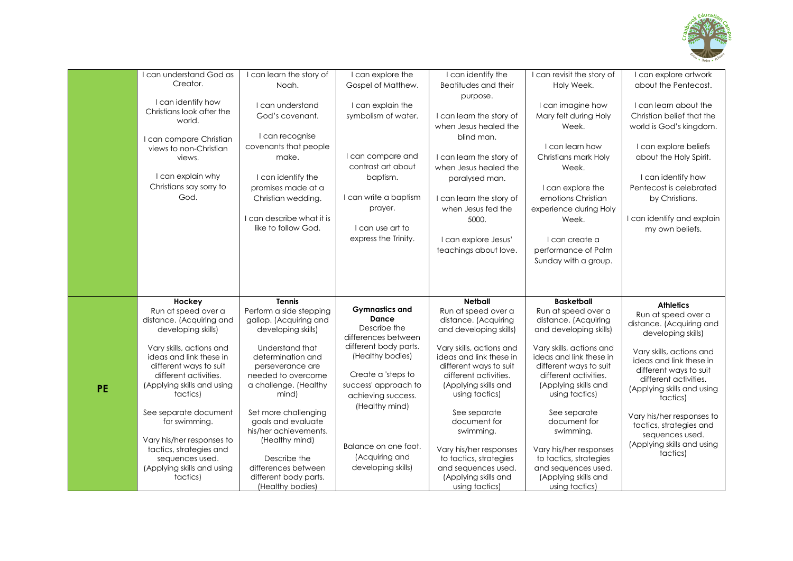

|           | can understand God as      | I can learn the story of  | I can explore the     | I can identify the       | I can revisit the story of | I can explore artwork      |
|-----------|----------------------------|---------------------------|-----------------------|--------------------------|----------------------------|----------------------------|
|           | Creator.                   | Noah.                     | Gospel of Matthew.    | Beatitudes and their     | Holy Week.                 | about the Pentecost.       |
|           |                            |                           |                       | purpose.                 |                            |                            |
|           | I can identify how         | I can understand          | I can explain the     |                          | I can imagine how          | I can learn about the      |
|           | Christians look after the  | God's covenant.           | symbolism of water.   | I can learn the story of | Mary felt during Holy      | Christian belief that the  |
|           | world.                     |                           |                       |                          |                            |                            |
|           |                            |                           |                       | when Jesus healed the    | Week.                      | world is God's kingdom.    |
|           | I can compare Christian    | I can recognise           |                       | blind man.               |                            |                            |
|           | views to non-Christian     | covenants that people     |                       |                          | I can learn how            | I can explore beliefs      |
|           | views.                     | make.                     | I can compare and     | I can learn the story of | Christians mark Holy       | about the Holy Spirit.     |
|           |                            |                           | contrast art about    | when Jesus healed the    | Week.                      |                            |
|           | I can explain why          | I can identify the        | baptism.              |                          |                            | I can identify how         |
|           | Christians say sorry to    |                           |                       | paralysed man.           |                            |                            |
|           |                            | promises made at a        |                       |                          | I can explore the          | Pentecost is celebrated    |
|           | God.                       | Christian wedding.        | I can write a baptism | I can learn the story of | emotions Christian         | by Christians.             |
|           |                            |                           | prayer.               | when Jesus fed the       | experience during Holy     |                            |
|           |                            | I can describe what it is |                       | 5000.                    | Week.                      | I can identify and explain |
|           |                            | like to follow God.       | I can use art to      |                          |                            | my own beliefs.            |
|           |                            |                           | express the Trinity.  | can explore Jesus'       | I can create a             |                            |
|           |                            |                           |                       | teachings about love.    | performance of Palm        |                            |
|           |                            |                           |                       |                          | Sunday with a group.       |                            |
|           |                            |                           |                       |                          |                            |                            |
|           |                            |                           |                       |                          |                            |                            |
|           |                            |                           |                       |                          |                            |                            |
|           |                            |                           |                       |                          |                            |                            |
|           |                            |                           |                       |                          |                            |                            |
|           | Hockey                     | <b>Tennis</b>             |                       | <b>Netball</b>           | <b>Basketball</b>          |                            |
|           | Run at speed over a        | Perform a side stepping   | <b>Gymnastics and</b> | Run at speed over a      | Run at speed over a        | <b>Athletics</b>           |
|           | distance. (Acquiring and   | gallop. (Acquiring and    | Dance                 | distance. (Acquiring     | distance. (Acquiring       | Run at speed over a        |
|           | developing skills)         | developing skills)        | Describe the          | and developing skills)   | and developing skills)     | distance. (Acquiring and   |
|           |                            |                           | differences between   |                          |                            | developing skills)         |
|           | Vary skills, actions and   | Understand that           | different body parts. | Vary skills, actions and | Vary skills, actions and   |                            |
|           | ideas and link these in    | determination and         | (Healthy bodies)      | ideas and link these in  | ideas and link these in    | Vary skills, actions and   |
|           | different ways to suit     | perseverance are          |                       | different ways to suit   | different ways to suit     | ideas and link these in    |
|           | different activities.      | needed to overcome        | Create a 'steps to    | different activities.    | different activities.      | different ways to suit     |
|           | (Applying skills and using | a challenge. (Healthy     | success' approach to  | (Applying skills and     | (Applying skills and       | different activities.      |
| <b>PE</b> | tactics)                   | mind)                     |                       | using tactics)           | using tactics)             | (Applying skills and using |
|           |                            |                           | achieving success.    |                          |                            | tactics)                   |
|           | See separate document      | Set more challenging      | (Healthy mind)        | See separate             | See separate               |                            |
|           | for swimming.              | goals and evaluate        |                       | document for             | document for               | Vary his/her responses to  |
|           |                            | his/her achievements.     |                       | swimming.                | swimming.                  | tactics, strategies and    |
|           | Vary his/her responses to  | (Healthy mind)            |                       |                          |                            | sequences used.            |
|           | tactics, strategies and    |                           | Balance on one foot.  | Vary his/her responses   | Vary his/her responses     | (Applying skills and using |
|           | sequences used.            | Describe the              | (Acquiring and        | to tactics, strategies   | to tactics, strategies     | tactics)                   |
|           | (Applying skills and using | differences between       | developing skills)    | and sequences used.      | and sequences used.        |                            |
|           | tactics)                   | different body parts.     |                       | (Applying skills and     | (Applying skills and       |                            |
|           |                            | (Healthy bodies)          |                       | using tactics)           | using tactics)             |                            |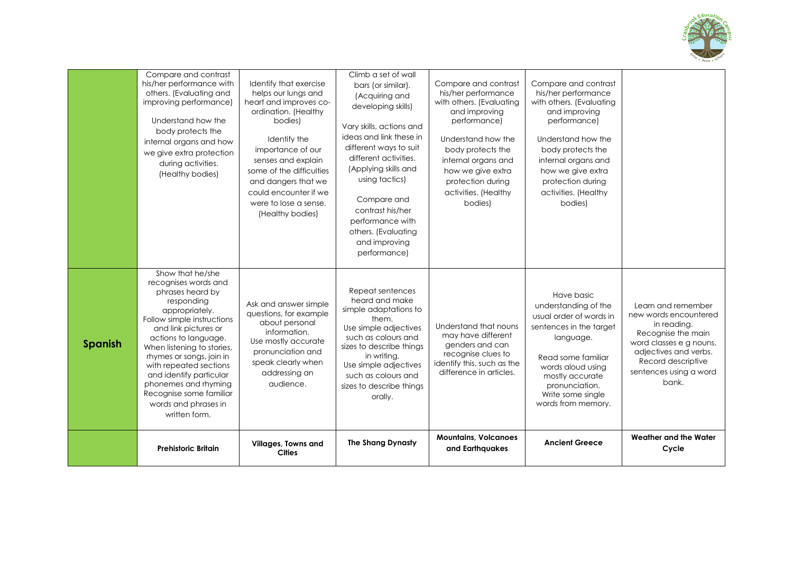

|                | Compare and contrast<br>his/her performance with<br>others. (Evaluating and<br>improving performance)<br>Understand how the<br>body protects the<br>internal organs and how<br>we give extra protection<br>during activities.<br>(Healthy bodies)                                                                                                                                     | Identify that exercise<br>helps our lungs and<br>heart and improves co-<br>ordination. (Healthy<br>bodies)<br>Identify the<br>importance of our<br>senses and explain<br>some of the difficulties<br>and dangers that we<br>could encounter if we<br>were to lose a sense.<br>(Healthy bodies) | Climb a set of wall<br>bars (or similar).<br>(Acquiring and<br>developing skills)<br>Vary skills, actions and<br>ideas and link these in<br>different ways to suit<br>different activities.<br>(Applying skills and<br>using tactics)<br>Compare and<br>contrast his/her<br>performance with<br>others. (Evaluating<br>and improving<br>performance) | Compare and contrast<br>his/her performance<br>with others. (Evaluating<br>and improving<br>performance)<br>Understand how the<br>body protects the<br>internal organs and<br>how we give extra<br>protection during<br>activities. (Healthy<br>bodies) | Compare and contrast<br>his/her performance<br>with others. (Evaluating<br>and improving<br>performance)<br>Understand how the<br>body protects the<br>internal organs and<br>how we give extra<br>protection during<br>activities. (Healthy<br>bodies) |                                                                                                                                                                                               |
|----------------|---------------------------------------------------------------------------------------------------------------------------------------------------------------------------------------------------------------------------------------------------------------------------------------------------------------------------------------------------------------------------------------|------------------------------------------------------------------------------------------------------------------------------------------------------------------------------------------------------------------------------------------------------------------------------------------------|------------------------------------------------------------------------------------------------------------------------------------------------------------------------------------------------------------------------------------------------------------------------------------------------------------------------------------------------------|---------------------------------------------------------------------------------------------------------------------------------------------------------------------------------------------------------------------------------------------------------|---------------------------------------------------------------------------------------------------------------------------------------------------------------------------------------------------------------------------------------------------------|-----------------------------------------------------------------------------------------------------------------------------------------------------------------------------------------------|
| <b>Spanish</b> | Show that he/she<br>recognises words and<br>phrases heard by<br>responding<br>appropriately.<br>Follow simple instructions<br>and link pictures or<br>actions to language.<br>When listening to stories,<br>rhymes or songs, join in<br>with repeated sections<br>and identify particular<br>phonemes and rhyming<br>Recognise some familiar<br>words and phrases in<br>written form. | Ask and answer simple<br>questions, for example<br>about personal<br>information.<br>Use mostly accurate<br>pronunciation and<br>speak clearly when<br>addressing an<br>audience.                                                                                                              | Repeat sentences<br>heard and make<br>simple adaptations to<br>them.<br>Use simple adjectives<br>such as colours and<br>sizes to describe things<br>in writing.<br>Use simple adjectives<br>such as colours and<br>sizes to describe things<br>orally.                                                                                               | Understand that nouns<br>may have different<br>genders and can<br>recognise clues to<br>identify this, such as the<br>difference in articles.                                                                                                           | Have basic<br>understanding of the<br>usual order of words in<br>sentences in the target<br>language.<br>Read some familiar<br>words aloud using<br>mostly accurate<br>pronunciation.<br>Write some single<br>words from memory.                        | Learn and remember<br>new words encountered<br>in reading.<br>Recognise the main<br>word classes e g nouns,<br>adjectives and verbs.<br>Record descriptive<br>sentences using a word<br>bank. |
|                | <b>Prehistoric Britain</b>                                                                                                                                                                                                                                                                                                                                                            | Villages, Towns and<br><b>Cities</b>                                                                                                                                                                                                                                                           | <b>The Shang Dynasty</b>                                                                                                                                                                                                                                                                                                                             | <b>Mountains, Volcanoes</b><br>and Earthquakes                                                                                                                                                                                                          | <b>Ancient Greece</b>                                                                                                                                                                                                                                   | Weather and the Water<br>Cycle                                                                                                                                                                |